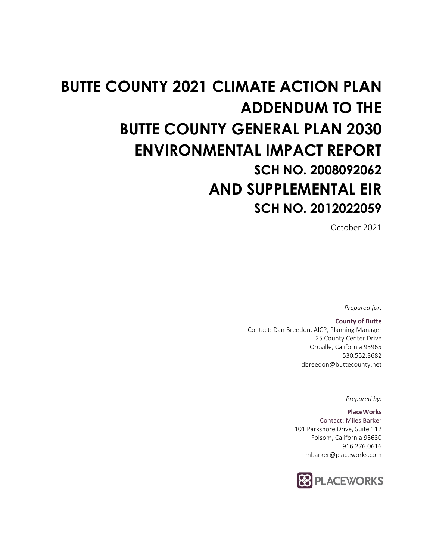# **BUTTE COUNTY 2021 CLIMATE ACTION PLAN ADDENDUM TO THE BUTTE COUNTY GENERAL PLAN 2030 ENVIRONMENTAL IMPACT REPORT SCH NO. 2008092062 AND SUPPLEMENTAL EIR SCH NO. 2012022059**

October 2021

*Prepared for:*

**County of Butte** Contact: Dan Breedon, AICP, Planning Manager 25 County Center Drive Oroville, California 95965 530.552.3682 dbreedon@buttecounty.net

*Prepared by:*

**PlaceWorks** Contact: Miles Barker 101 Parkshore Drive, Suite 112 Folsom, California 95630 916.276.0616 mbarker@placeworks.com

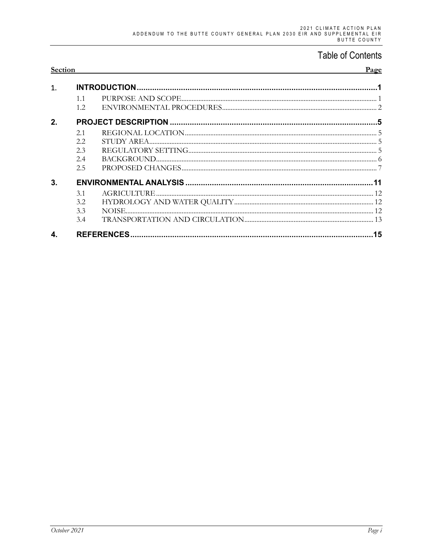### **Table of Contents**

| Section     |             |  | <b>Page</b> |
|-------------|-------------|--|-------------|
| 1           |             |  |             |
|             | 1.1<br>1.2. |  |             |
| $2_{\cdot}$ |             |  |             |
|             | 2.1         |  |             |
|             | 2.2         |  |             |
|             | 2.3         |  |             |
|             | 2.4         |  |             |
|             | 2.5         |  |             |
| 3.          |             |  |             |
|             | 3.1         |  |             |
|             | 3.2         |  |             |
|             | 3.3         |  |             |
|             | 3.4         |  |             |
|             |             |  |             |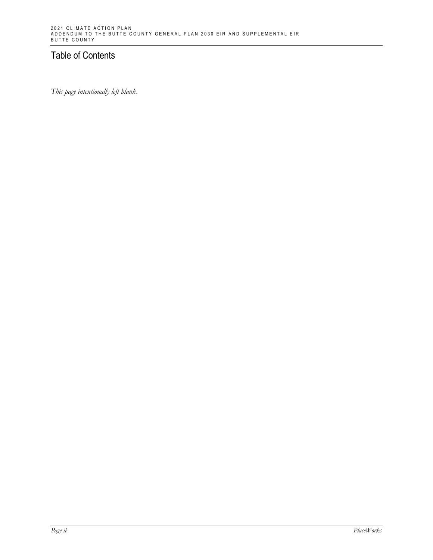#### Table of Contents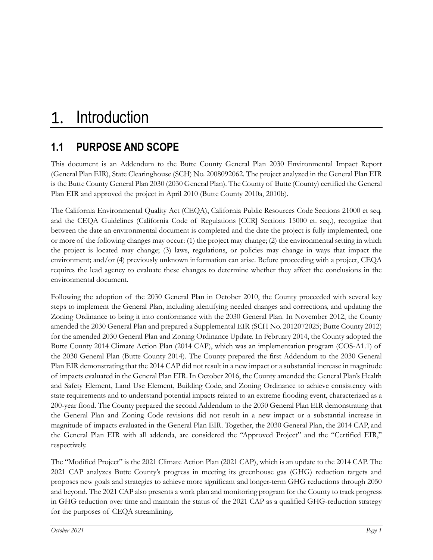# **1.1 PURPOSE AND SCOPE**

This document is an Addendum to the Butte County General Plan 2030 Environmental Impact Report (General Plan EIR), State Clearinghouse (SCH) No. 2008092062. The project analyzed in the General Plan EIR is the Butte County General Plan 2030 (2030 General Plan). The County of Butte (County) certified the General Plan EIR and approved the project in April 2010 (Butte County 2010a, 2010b).

The California Environmental Quality Act (CEQA), California Public Resources Code Sections 21000 et seq. and the CEQA Guidelines (California Code of Regulations [CCR] Sections 15000 et. seq.), recognize that between the date an environmental document is completed and the date the project is fully implemented, one or more of the following changes may occur: (1) the project may change; (2) the environmental setting in which the project is located may change; (3) laws, regulations, or policies may change in ways that impact the environment; and/or (4) previously unknown information can arise. Before proceeding with a project, CEQA requires the lead agency to evaluate these changes to determine whether they affect the conclusions in the environmental document.

Following the adoption of the 2030 General Plan in October 2010, the County proceeded with several key steps to implement the General Plan, including identifying needed changes and corrections, and updating the Zoning Ordinance to bring it into conformance with the 2030 General Plan. In November 2012, the County amended the 2030 General Plan and prepared a Supplemental EIR (SCH No. 2012072025; Butte County 2012) for the amended 2030 General Plan and Zoning Ordinance Update. In February 2014, the County adopted the Butte County 2014 Climate Action Plan (2014 CAP), which was an implementation program (COS-A1.1) of the 2030 General Plan (Butte County 2014). The County prepared the first Addendum to the 2030 General Plan EIR demonstrating that the 2014 CAP did not result in a new impact or a substantial increase in magnitude of impacts evaluated in the General Plan EIR. In October 2016, the County amended the General Plan's Health and Safety Element, Land Use Element, Building Code, and Zoning Ordinance to achieve consistency with state requirements and to understand potential impacts related to an extreme flooding event, characterized as a 200-year flood. The County prepared the second Addendum to the 2030 General Plan EIR demonstrating that the General Plan and Zoning Code revisions did not result in a new impact or a substantial increase in magnitude of impacts evaluated in the General Plan EIR. Together, the 2030 General Plan, the 2014 CAP, and the General Plan EIR with all addenda, are considered the "Approved Project" and the "Certified EIR," respectively.

The "Modified Project" is the 2021 Climate Action Plan (2021 CAP), which is an update to the 2014 CAP. The 2021 CAP analyzes Butte County's progress in meeting its greenhouse gas (GHG) reduction targets and proposes new goals and strategies to achieve more significant and longer-term GHG reductions through 2050 and beyond. The 2021 CAP also presents a work plan and monitoring program for the County to track progress in GHG reduction over time and maintain the status of the 2021 CAP as a qualified GHG-reduction strategy for the purposes of CEQA streamlining.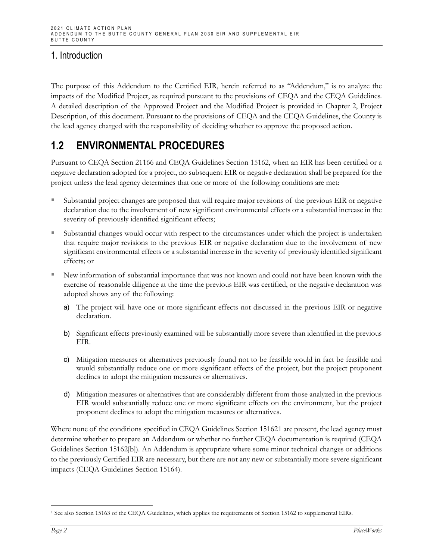The purpose of this Addendum to the Certified EIR, herein referred to as "Addendum," is to analyze the impacts of the Modified Project, as required pursuant to the provisions of CEQA and the CEQA Guidelines. A detailed description of the Approved Project and the Modified Project is provided in Chapter 2, Project Description, of this document. Pursuant to the provisions of CEQA and the CEQA Guidelines, the County is the lead agency charged with the responsibility of deciding whether to approve the proposed action.

## **1.2 ENVIRONMENTAL PROCEDURES**

Pursuant to CEQA Section 21166 and CEQA Guidelines Section 15162, when an EIR has been certified or a negative declaration adopted for a project, no subsequent EIR or negative declaration shall be prepared for the project unless the lead agency determines that one or more of the following conditions are met:

- Substantial project changes are proposed that will require major revisions of the previous EIR or negative declaration due to the involvement of new significant environmental effects or a substantial increase in the severity of previously identified significant effects;
- Substantial changes would occur with respect to the circumstances under which the project is undertaken that require major revisions to the previous EIR or negative declaration due to the involvement of new significant environmental effects or a substantial increase in the severity of previously identified significant effects; or
- New information of substantial importance that was not known and could not have been known with the exercise of reasonable diligence at the time the previous EIR was certified, or the negative declaration was adopted shows any of the following:
	- a) The project will have one or more significant effects not discussed in the previous EIR or negative declaration.
	- b) Significant effects previously examined will be substantially more severe than identified in the previous EIR.
	- c) Mitigation measures or alternatives previously found not to be feasible would in fact be feasible and would substantially reduce one or more significant effects of the project, but the project proponent declines to adopt the mitigation measures or alternatives.
	- d) Mitigation measures or alternatives that are considerably different from those analyzed in the previous EIR would substantially reduce one or more significant effects on the environment, but the project proponent declines to adopt the mitigation measures or alternatives.

Where none of the conditions specified in CEQA Guidelines Section 1516[21](#page-5-0) are present, the lead agency must determine whether to prepare an Addendum or whether no further CEQA documentation is required (CEQA Guidelines Section 15162[b]). An Addendum is appropriate where some minor technical changes or additions to the previously Certified EIR are necessary, but there are not any new or substantially more severe significant impacts (CEQA Guidelines Section 15164).

<span id="page-5-0"></span><sup>1</sup> See also Section 15163 of the CEQA Guidelines, which applies the requirements of Section 15162 to supplemental EIRs.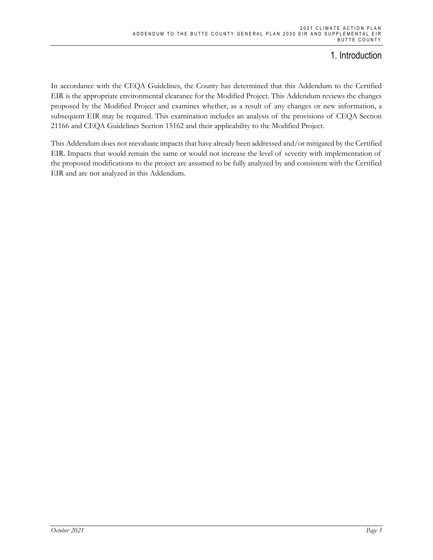In accordance with the CEQA Guidelines, the County has determined that this Addendum to the Certified EIR is the appropriate environmental clearance for the Modified Project. This Addendum reviews the changes proposed by the Modified Project and examines whether, as a result of any changes or new information, a subsequent EIR may be required. This examination includes an analysis of the provisions of CEQA Section 21166 and CEQA Guidelines Section 15162 and their applicability to the Modified Project.

This Addendum does not reevaluate impacts that have already been addressed and/or mitigated by the Certified EIR. Impacts that would remain the same or would not increase the level of severity with implementation of the proposed modifications to the project are assumed to be fully analyzed by and consistent with the Certified EIR and are not analyzed in this Addendum.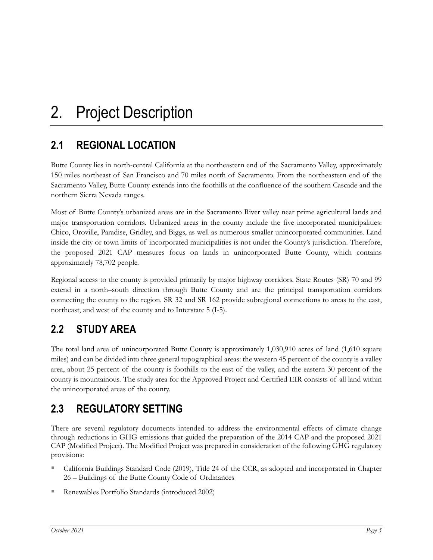# **2.1 REGIONAL LOCATION**

Butte County lies in north-central California at the northeastern end of the Sacramento Valley, approximately 150 miles northeast of San Francisco and 70 miles north of Sacramento. From the northeastern end of the Sacramento Valley, Butte County extends into the foothills at the confluence of the southern Cascade and the northern Sierra Nevada ranges.

Most of Butte County's urbanized areas are in the Sacramento River valley near prime agricultural lands and major transportation corridors. Urbanized areas in the county include the five incorporated municipalities: Chico, Oroville, Paradise, Gridley, and Biggs, as well as numerous smaller unincorporated communities. Land inside the city or town limits of incorporated municipalities is not under the County's jurisdiction. Therefore, the proposed 2021 CAP measures focus on lands in unincorporated Butte County, which contains approximately 78,702 people.

Regional access to the county is provided primarily by major highway corridors. State Routes (SR) 70 and 99 extend in a north–south direction through Butte County and are the principal transportation corridors connecting the county to the region. SR 32 and SR 162 provide subregional connections to areas to the east, northeast, and west of the county and to Interstate 5 (I-5).

# **2.2 STUDY AREA**

The total land area of unincorporated Butte County is approximately 1,030,910 acres of land (1,610 square miles) and can be divided into three general topographical areas: the western 45 percent of the county is a valley area, about 25 percent of the county is foothills to the east of the valley, and the eastern 30 percent of the county is mountainous. The study area for the Approved Project and Certified EIR consists of all land within the unincorporated areas of the county.

## **2.3 REGULATORY SETTING**

There are several regulatory documents intended to address the environmental effects of climate change through reductions in GHG emissions that guided the preparation of the 2014 CAP and the proposed 2021 CAP (Modified Project). The Modified Project was prepared in consideration of the following GHG regulatory provisions:

- California Buildings Standard Code (2019), Title 24 of the CCR, as adopted and incorporated in Chapter 26 – Buildings of the Butte County Code of Ordinances
- Renewables Portfolio Standards (introduced 2002)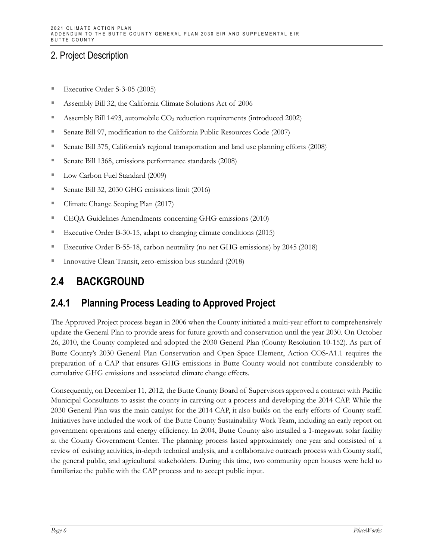- Executive Order S-3-05 (2005)
- Assembly Bill 32, the California Climate Solutions Act of 2006
- Assembly Bill 1493, automobile CO2 reduction requirements (introduced 2002)
- Senate Bill 97, modification to the California Public Resources Code (2007)
- Senate Bill 375, California's regional transportation and land use planning efforts (2008)
- Senate Bill 1368, emissions performance standards (2008)
- **Low Carbon Fuel Standard (2009)**
- Senate Bill 32, 2030 GHG emissions limit (2016)
- Climate Change Scoping Plan (2017)
- CEQA Guidelines Amendments concerning GHG emissions (2010)
- Executive Order B-30-15, adapt to changing climate conditions (2015)
- Executive Order B-55-18, carbon neutrality (no net GHG emissions) by 2045 (2018)
- Innovative Clean Transit, zero-emission bus standard (2018)

## **2.4 BACKGROUND**

## **2.4.1 Planning Process Leading to Approved Project**

The Approved Project process began in 2006 when the County initiated a multi-year effort to comprehensively update the General Plan to provide areas for future growth and conservation until the year 2030. On October 26, 2010, the County completed and adopted the 2030 General Plan (County Resolution 10-152). As part of Butte County's 2030 General Plan Conservation and Open Space Element, Action COS‐A1.1 requires the preparation of a CAP that ensures GHG emissions in Butte County would not contribute considerably to cumulative GHG emissions and associated climate change effects.

Consequently, on December 11, 2012, the Butte County Board of Supervisors approved a contract with Pacific Municipal Consultants to assist the county in carrying out a process and developing the 2014 CAP. While the 2030 General Plan was the main catalyst for the 2014 CAP, it also builds on the early efforts of County staff. Initiatives have included the work of the Butte County Sustainability Work Team, including an early report on government operations and energy efficiency. In 2004, Butte County also installed a 1-megawatt solar facility at the County Government Center. The planning process lasted approximately one year and consisted of a review of existing activities, in-depth technical analysis, and a collaborative outreach process with County staff, the general public, and agricultural stakeholders. During this time, two community open houses were held to familiarize the public with the CAP process and to accept public input.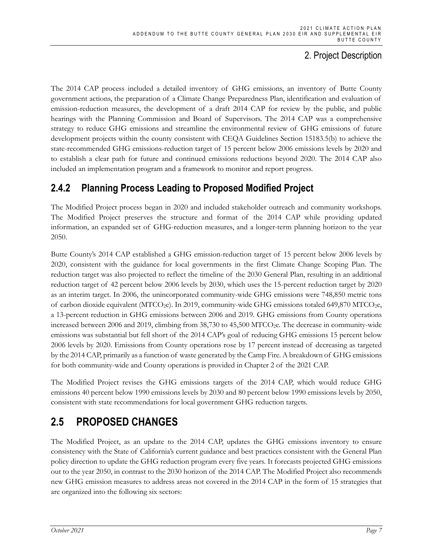The 2014 CAP process included a detailed inventory of GHG emissions, an inventory of Butte County government actions, the preparation of a Climate Change Preparedness Plan, identification and evaluation of emission-reduction measures, the development of a draft 2014 CAP for review by the public, and public hearings with the Planning Commission and Board of Supervisors. The 2014 CAP was a comprehensive strategy to reduce GHG emissions and streamline the environmental review of GHG emissions of future development projects within the county consistent with CEQA Guidelines Section 15183.5(b) to achieve the state-recommended GHG emissions-reduction target of 15 percent below 2006 emissions levels by 2020 and to establish a clear path for future and continued emissions reductions beyond 2020. The 2014 CAP also included an implementation program and a framework to monitor and report progress.

### **2.4.2 Planning Process Leading to Proposed Modified Project**

The Modified Project process began in 2020 and included stakeholder outreach and community workshops. The Modified Project preserves the structure and format of the 2014 CAP while providing updated information, an expanded set of GHG-reduction measures, and a longer-term planning horizon to the year 2050.

Butte County's 2014 CAP established a GHG emission-reduction target of 15 percent below 2006 levels by 2020, consistent with the guidance for local governments in the first Climate Change Scoping Plan. The reduction target was also projected to reflect the timeline of the 2030 General Plan, resulting in an additional reduction target of 42 percent below 2006 levels by 2030, which uses the 15-percent reduction target by 2020 as an interim target. In 2006, the unincorporated community-wide GHG emissions were 748,850 metric tons of carbon dioxide equivalent ( $MTCO<sub>2</sub>e$ ). In 2019, community-wide GHG emissions totaled 649,870 MTCO<sub>2</sub>e, a 13-percent reduction in GHG emissions between 2006 and 2019. GHG emissions from County operations increased between 2006 and 2019, climbing from 38,730 to 45,500 MTCO<sub>2</sub>e. The decrease in community-wide emissions was substantial but fell short of the 2014 CAP's goal of reducing GHG emissions 15 percent below 2006 levels by 2020. Emissions from County operations rose by 17 percent instead of decreasing as targeted by the 2014 CAP, primarily as a function of waste generated by the Camp Fire. A breakdown of GHG emissions for both community-wide and County operations is provided in Chapter 2 of the 2021 CAP.

The Modified Project revises the GHG emissions targets of the 2014 CAP, which would reduce GHG emissions 40 percent below 1990 emissions levels by 2030 and 80 percent below 1990 emissions levels by 2050, consistent with state recommendations for local government GHG reduction targets.

## **2.5 PROPOSED CHANGES**

The Modified Project, as an update to the 2014 CAP, updates the GHG emissions inventory to ensure consistency with the State of California's current guidance and best practices consistent with the General Plan policy direction to update the GHG reduction program every five years. It forecasts projected GHG emissions out to the year 2050, in contrast to the 2030 horizon of the 2014 CAP. The Modified Project also recommends new GHG emission measures to address areas not covered in the 2014 CAP in the form of 15 strategies that are organized into the following six sectors: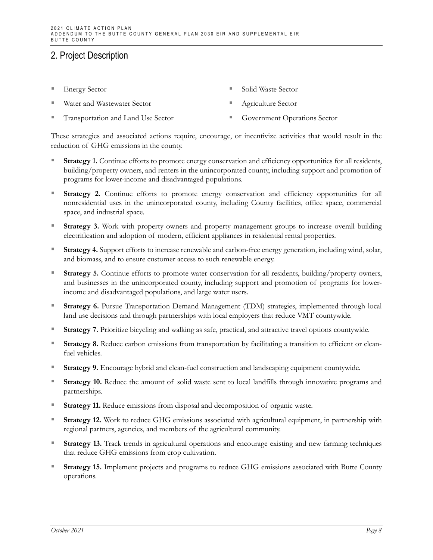- Energy Sector
- Water and Wastewater Sector
- Transportation and Land Use Sector
- Solid Waste Sector
- Agriculture Sector
- 
- Government Operations Sector

These strategies and associated actions require, encourage, or incentivize activities that would result in the reduction of GHG emissions in the county.

- **Strategy 1.** Continue efforts to promote energy conservation and efficiency opportunities for all residents, building/property owners, and renters in the unincorporated county, including support and promotion of programs for lower-income and disadvantaged populations.
- **Strategy 2.** Continue efforts to promote energy conservation and efficiency opportunities for all nonresidential uses in the unincorporated county, including County facilities, office space, commercial space, and industrial space.
- **Strategy 3.** Work with property owners and property management groups to increase overall building electrification and adoption of modern, efficient appliances in residential rental properties.
- **Strategy 4.** Support efforts to increase renewable and carbon-free energy generation, including wind, solar, and biomass, and to ensure customer access to such renewable energy.
- **Strategy 5.** Continue efforts to promote water conservation for all residents, building/property owners, and businesses in the unincorporated county, including support and promotion of programs for lowerincome and disadvantaged populations, and large water users.
- **Strategy 6.** Pursue Transportation Demand Management (TDM) strategies, implemented through local land use decisions and through partnerships with local employers that reduce VMT countywide.
- **Strategy 7.** Prioritize bicycling and walking as safe, practical, and attractive travel options countywide.
- **Strategy 8.** Reduce carbon emissions from transportation by facilitating a transition to efficient or cleanfuel vehicles.
- **Strategy 9.** Encourage hybrid and clean-fuel construction and landscaping equipment countywide.
- **Strategy 10.** Reduce the amount of solid waste sent to local landfills through innovative programs and partnerships.
- **Strategy 11.** Reduce emissions from disposal and decomposition of organic waste.
- **Strategy 12.** Work to reduce GHG emissions associated with agricultural equipment, in partnership with regional partners, agencies, and members of the agricultural community.
- **Strategy 13.** Track trends in agricultural operations and encourage existing and new farming techniques that reduce GHG emissions from crop cultivation.
- **Strategy 15.** Implement projects and programs to reduce GHG emissions associated with Butte County operations.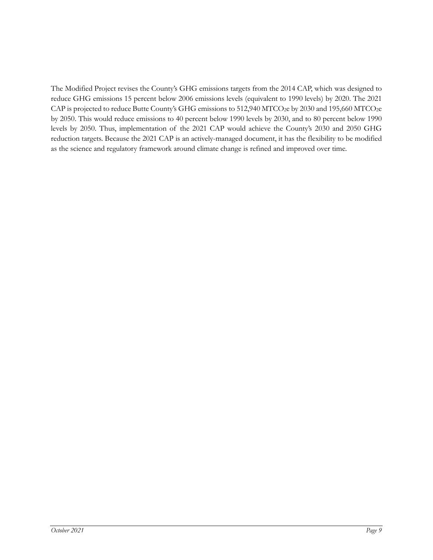The Modified Project revises the County's GHG emissions targets from the 2014 CAP, which was designed to reduce GHG emissions 15 percent below 2006 emissions levels (equivalent to 1990 levels) by 2020. The 2021 CAP is projected to reduce Butte County's GHG emissions to 512,940 MTCO<sub>2</sub>e by 2030 and 195,660 MTCO<sub>2</sub>e by 2050. This would reduce emissions to 40 percent below 1990 levels by 2030, and to 80 percent below 1990 levels by 2050. Thus, implementation of the 2021 CAP would achieve the County's 2030 and 2050 GHG reduction targets. Because the 2021 CAP is an actively-managed document, it has the flexibility to be modified as the science and regulatory framework around climate change is refined and improved over time.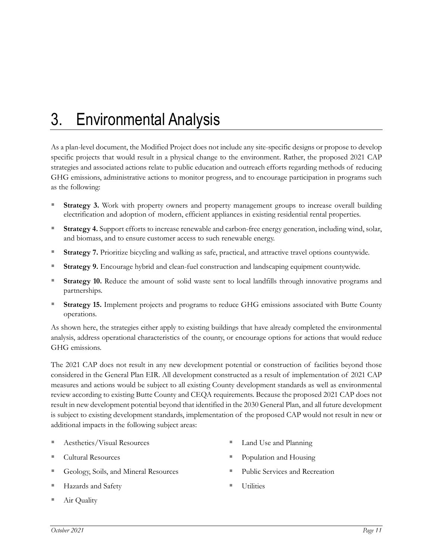# 3. Environmental Analysis

As a plan-level document, the Modified Project does not include any site-specific designs or propose to develop specific projects that would result in a physical change to the environment. Rather, the proposed 2021 CAP strategies and associated actions relate to public education and outreach efforts regarding methods of reducing GHG emissions, administrative actions to monitor progress, and to encourage participation in programs such as the following:

- Strategy 3. Work with property owners and property management groups to increase overall building electrification and adoption of modern, efficient appliances in existing residential rental properties.
- **Strategy 4.** Support efforts to increase renewable and carbon-free energy generation, including wind, solar, and biomass, and to ensure customer access to such renewable energy.
- **Strategy 7.** Prioritize bicycling and walking as safe, practical, and attractive travel options countywide.
- **Strategy 9.** Encourage hybrid and clean-fuel construction and landscaping equipment countywide.
- **Strategy 10.** Reduce the amount of solid waste sent to local landfills through innovative programs and partnerships.
- **Strategy 15.** Implement projects and programs to reduce GHG emissions associated with Butte County operations.

As shown here, the strategies either apply to existing buildings that have already completed the environmental analysis, address operational characteristics of the county, or encourage options for actions that would reduce GHG emissions.

The 2021 CAP does not result in any new development potential or construction of facilities beyond those considered in the General Plan EIR. All development constructed as a result of implementation of 2021 CAP measures and actions would be subject to all existing County development standards as well as environmental review according to existing Butte County and CEQA requirements. Because the proposed 2021 CAP does not result in new development potential beyond that identified in the 2030 General Plan, and all future development is subject to existing development standards, implementation of the proposed CAP would not result in new or additional impacts in the following subject areas:

- Aesthetics/Visual Resources
- Cultural Resources
- Geology, Soils, and Mineral Resources
- Hazards and Safety
- Air Quality
- Land Use and Planning
- Population and Housing
- Public Services and Recreation
- Utilities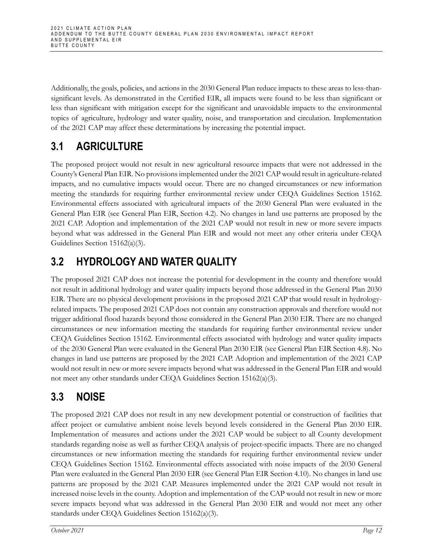Additionally, the goals, policies, and actions in the 2030 General Plan reduce impacts to these areas to less-thansignificant levels. As demonstrated in the Certified EIR, all impacts were found to be less than significant or less than significant with mitigation except for the significant and unavoidable impacts to the environmental topics of agriculture, hydrology and water quality, noise, and transportation and circulation. Implementation of the 2021 CAP may affect these determinations by increasing the potential impact.

# **3.1 AGRICULTURE**

The proposed project would not result in new agricultural resource impacts that were not addressed in the County's General Plan EIR. No provisions implemented under the 2021 CAP would result in agriculture-related impacts, and no cumulative impacts would occur. There are no changed circumstances or new information meeting the standards for requiring further environmental review under CEQA Guidelines Section 15162. Environmental effects associated with agricultural impacts of the 2030 General Plan were evaluated in the General Plan EIR (see General Plan EIR, Section 4.2). No changes in land use patterns are proposed by the 2021 CAP. Adoption and implementation of the 2021 CAP would not result in new or more severe impacts beyond what was addressed in the General Plan EIR and would not meet any other criteria under CEQA Guidelines Section 15162(a)(3).

# **3.2 HYDROLOGY AND WATER QUALITY**

The proposed 2021 CAP does not increase the potential for development in the county and therefore would not result in additional hydrology and water quality impacts beyond those addressed in the General Plan 2030 EIR. There are no physical development provisions in the proposed 2021 CAP that would result in hydrologyrelated impacts. The proposed 2021 CAP does not contain any construction approvals and therefore would not trigger additional flood hazards beyond those considered in the General Plan 2030 EIR. There are no changed circumstances or new information meeting the standards for requiring further environmental review under CEQA Guidelines Section 15162. Environmental effects associated with hydrology and water quality impacts of the 2030 General Plan were evaluated in the General Plan 2030 EIR (see General Plan EIR Section 4.8). No changes in land use patterns are proposed by the 2021 CAP. Adoption and implementation of the 2021 CAP would not result in new or more severe impacts beyond what was addressed in the General Plan EIR and would not meet any other standards under CEQA Guidelines Section 15162(a)(3).

# **3.3 NOISE**

The proposed 2021 CAP does not result in any new development potential or construction of facilities that affect project or cumulative ambient noise levels beyond levels considered in the General Plan 2030 EIR. Implementation of measures and actions under the 2021 CAP would be subject to all County development standards regarding noise as well as further CEQA analysis of project-specific impacts. There are no changed circumstances or new information meeting the standards for requiring further environmental review under CEQA Guidelines Section 15162. Environmental effects associated with noise impacts of the 2030 General Plan were evaluated in the General Plan 2030 EIR (see General Plan EIR Section 4.10). No changes in land use patterns are proposed by the 2021 CAP. Measures implemented under the 2021 CAP would not result in increased noise levels in the county. Adoption and implementation of the CAP would not result in new or more severe impacts beyond what was addressed in the General Plan 2030 EIR and would not meet any other standards under CEQA Guidelines Section 15162(a)(3).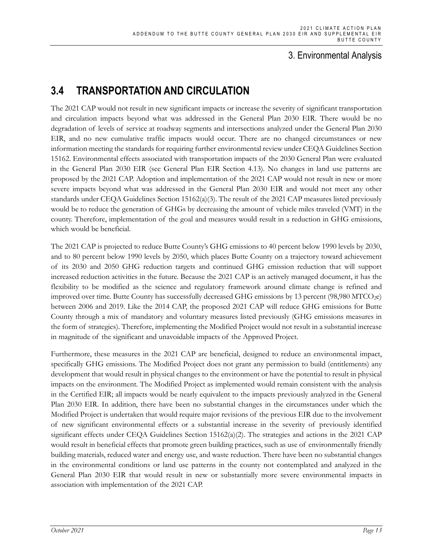#### 3. Environmental Analysis

## **3.4 TRANSPORTATION AND CIRCULATION**

The 2021 CAP would not result in new significant impacts or increase the severity of significant transportation and circulation impacts beyond what was addressed in the General Plan 2030 EIR. There would be no degradation of levels of service at roadway segments and intersections analyzed under the General Plan 2030 EIR, and no new cumulative traffic impacts would occur. There are no changed circumstances or new information meeting the standards for requiring further environmental review under CEQA Guidelines Section 15162. Environmental effects associated with transportation impacts of the 2030 General Plan were evaluated in the General Plan 2030 EIR (see General Plan EIR Section 4.13). No changes in land use patterns are proposed by the 2021 CAP. Adoption and implementation of the 2021 CAP would not result in new or more severe impacts beyond what was addressed in the General Plan 2030 EIR and would not meet any other standards under CEQA Guidelines Section 15162(a)(3). The result of the 2021 CAP measures listed previously would be to reduce the generation of GHGs by decreasing the amount of vehicle miles traveled (VMT) in the county. Therefore, implementation of the goal and measures would result in a reduction in GHG emissions, which would be beneficial.

The 2021 CAP is projected to reduce Butte County's GHG emissions to 40 percent below 1990 levels by 2030, and to 80 percent below 1990 levels by 2050, which places Butte County on a trajectory toward achievement of its 2030 and 2050 GHG reduction targets and continued GHG emission reduction that will support increased reduction activities in the future. Because the 2021 CAP is an actively managed document, it has the flexibility to be modified as the science and regulatory framework around climate change is refined and improved over time. Butte County has successfully decreased GHG emissions by 13 percent (98,980 MTCO<sub>2</sub>e) between 2006 and 2019. Like the 2014 CAP, the proposed 2021 CAP will reduce GHG emissions for Butte County through a mix of mandatory and voluntary measures listed previously (GHG emissions measures in the form of strategies). Therefore, implementing the Modified Project would not result in a substantial increase in magnitude of the significant and unavoidable impacts of the Approved Project.

Furthermore, these measures in the 2021 CAP are beneficial, designed to reduce an environmental impact, specifically GHG emissions. The Modified Project does not grant any permission to build (entitlements) any development that would result in physical changes to the environment or have the potential to result in physical impacts on the environment. The Modified Project as implemented would remain consistent with the analysis in the Certified EIR; all impacts would be nearly equivalent to the impacts previously analyzed in the General Plan 2030 EIR. In addition, there have been no substantial changes in the circumstances under which the Modified Project is undertaken that would require major revisions of the previous EIR due to the involvement of new significant environmental effects or a substantial increase in the severity of previously identified significant effects under CEQA Guidelines Section 15162(a)(2). The strategies and actions in the 2021 CAP would result in beneficial effects that promote green building practices, such as use of environmentally friendly building materials, reduced water and energy use, and waste reduction. There have been no substantial changes in the environmental conditions or land use patterns in the county not contemplated and analyzed in the General Plan 2030 EIR that would result in new or substantially more severe environmental impacts in association with implementation of the 2021 CAP.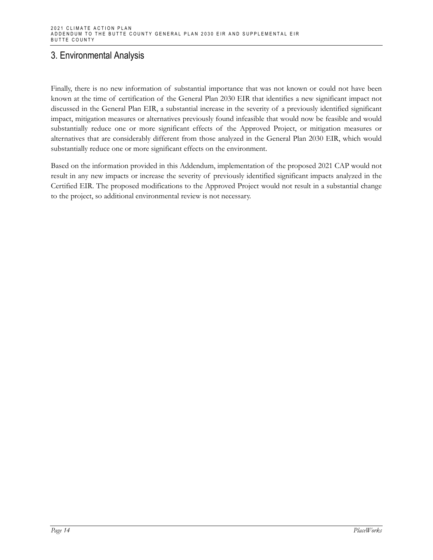### 3. Environmental Analysis

Finally, there is no new information of substantial importance that was not known or could not have been known at the time of certification of the General Plan 2030 EIR that identifies a new significant impact not discussed in the General Plan EIR, a substantial increase in the severity of a previously identified significant impact, mitigation measures or alternatives previously found infeasible that would now be feasible and would substantially reduce one or more significant effects of the Approved Project, or mitigation measures or alternatives that are considerably different from those analyzed in the General Plan 2030 EIR, which would substantially reduce one or more significant effects on the environment.

Based on the information provided in this Addendum, implementation of the proposed 2021 CAP would not result in any new impacts or increase the severity of previously identified significant impacts analyzed in the Certified EIR. The proposed modifications to the Approved Project would not result in a substantial change to the project, so additional environmental review is not necessary.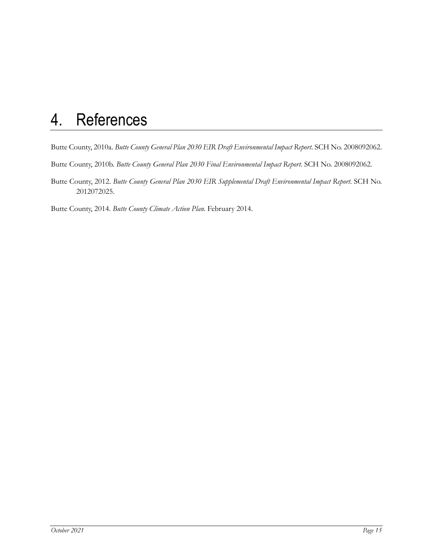# 4. References

Butte County, 2010a. *Butte County General Plan 2030 EIR Draft Environmental Impact Report*. SCH No. 2008092062.

Butte County, 2010b. *Butte County General Plan 2030 Final Environmental Impact Report*. SCH No. 2008092062.

Butte County, 2012. *Butte County General Plan 2030 EIR Supplemental Draft Environmental Impact Report*. SCH No. 2012072025.

Butte County, 2014. *Butte County Climate Action Plan.* February 2014.